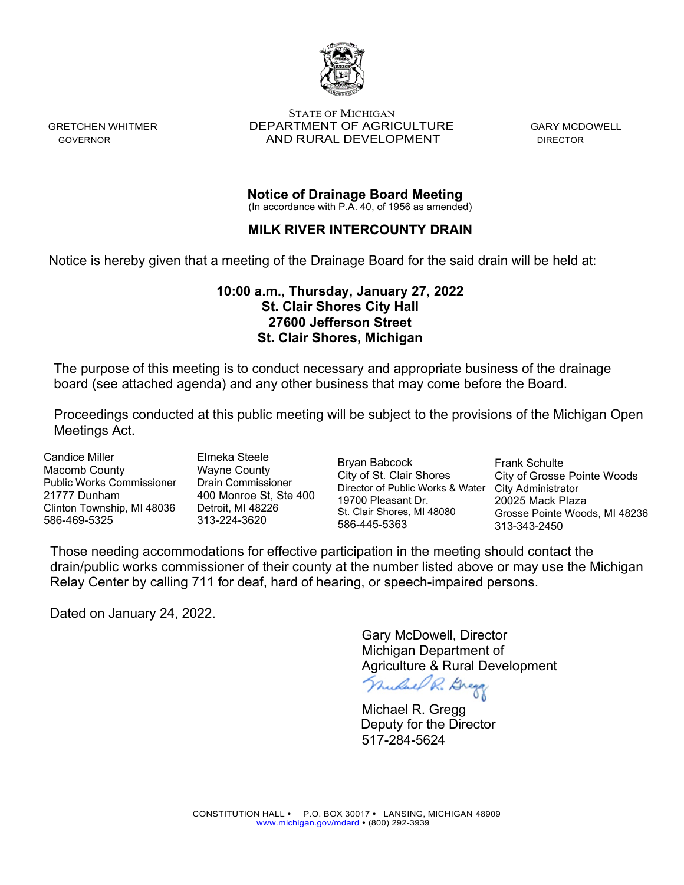

STATE OF MICHIGAN GRETCHEN WHITMER **DEPARTMENT OF AGRICULTURE** GARY MCDOWELL GOVERNOR **AND RURAL DEVELOPMENT** DIRECTOR

**Notice of Drainage Board Meeting**

(In accordance with P.A. 40, of 1956 as amended)

# **MILK RIVER INTERCOUNTY DRAIN**

Notice is hereby given that a meeting of the Drainage Board for the said drain will be held at:

# **10:00 a.m., Thursday, January 27, 2022 St. Clair Shores City Hall 27600 Jefferson Street St. Clair Shores, Michigan**

The purpose of this meeting is to conduct necessary and appropriate business of the drainage board (see attached agenda) and any other business that may come before the Board.

Proceedings conducted at this public meeting will be subject to the provisions of the Michigan Open Meetings Act.

Candice Miller Macomb County Public Works Commissioner 21777 Dunham Clinton Township, MI 48036 586-469-5325

Elmeka Steele Wayne County Drain Commissioner 400 Monroe St, Ste 400 Detroit, MI 48226 313-224-3620

Bryan Babcock City of St. Clair Shores Director of Public Works & Water City Administrator 19700 Pleasant Dr. St. Clair Shores, MI 48080 586-445-5363

Frank Schulte City of Grosse Pointe Woods 20025 Mack Plaza Grosse Pointe Woods, MI 48236 313-343-2450

Those needing accommodations for effective participation in the meeting should contact the drain/public works commissioner of their county at the number listed above or may use the Michigan Relay Center by calling 711 for deaf, hard of hearing, or speech-impaired persons.

Dated on January 24, 2022.

Gary McDowell, Director Michigan Department of Agriculture & Rural Development<br>*Mudael R. Bregg* 

 Michael R. Gregg 517-284-5624 Deputy for the Director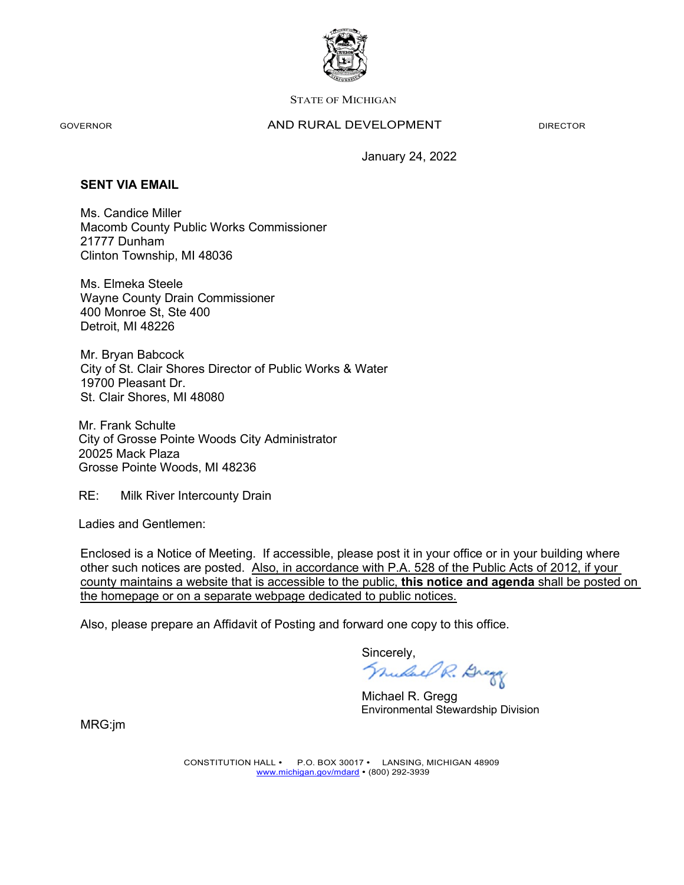

#### STATE OF MICHIGAN

#### GOVERNOR **AND RURAL DEVELOPMENT** DIRECTOR

January 24, 2022

## **SENT VIA EMAIL**

Ms. Candice Miller Macomb County Public Works Commissioner 21777 Dunham Clinton Township, MI 48036

Ms. Elmeka Steele Wayne County Drain Commissioner 400 Monroe St, Ste 400 Detroit, MI 48226

Mr. Bryan Babcock City of St. Clair Shores Director of Public Works & Water 19700 Pleasant Dr. St. Clair Shores, MI 48080

Mr. Frank Schulte City of Grosse Pointe Woods City Administrator 20025 Mack Plaza Grosse Pointe Woods, MI 48236

RE: Milk River Intercounty Drain

Ladies and Gentlemen:

Enclosed is a Notice of Meeting. If accessible, please post it in your office or in your building where other such notices are posted. Also, in accordance with P.A. 528 of the Public Acts of 2012, if your county maintains a website that is accessible to the public, **this notice and agenda** shall be posted on the homepage or on a separate webpage dedicated to public notices.

Also, please prepare an Affidavit of Posting and forward one copy to this office.

Sincerely,<br>*Mulael R. Brega* 

 Michael R. Gregg Environmental Stewardship Division

MRG:jm

CONSTITUTION HALL • P.O. BOX 30017 • LANSING, MICHIGAN 48909 [www.michigan.gov/mdard](http://www.michigan.gov/mdard) • (800) 292-3939